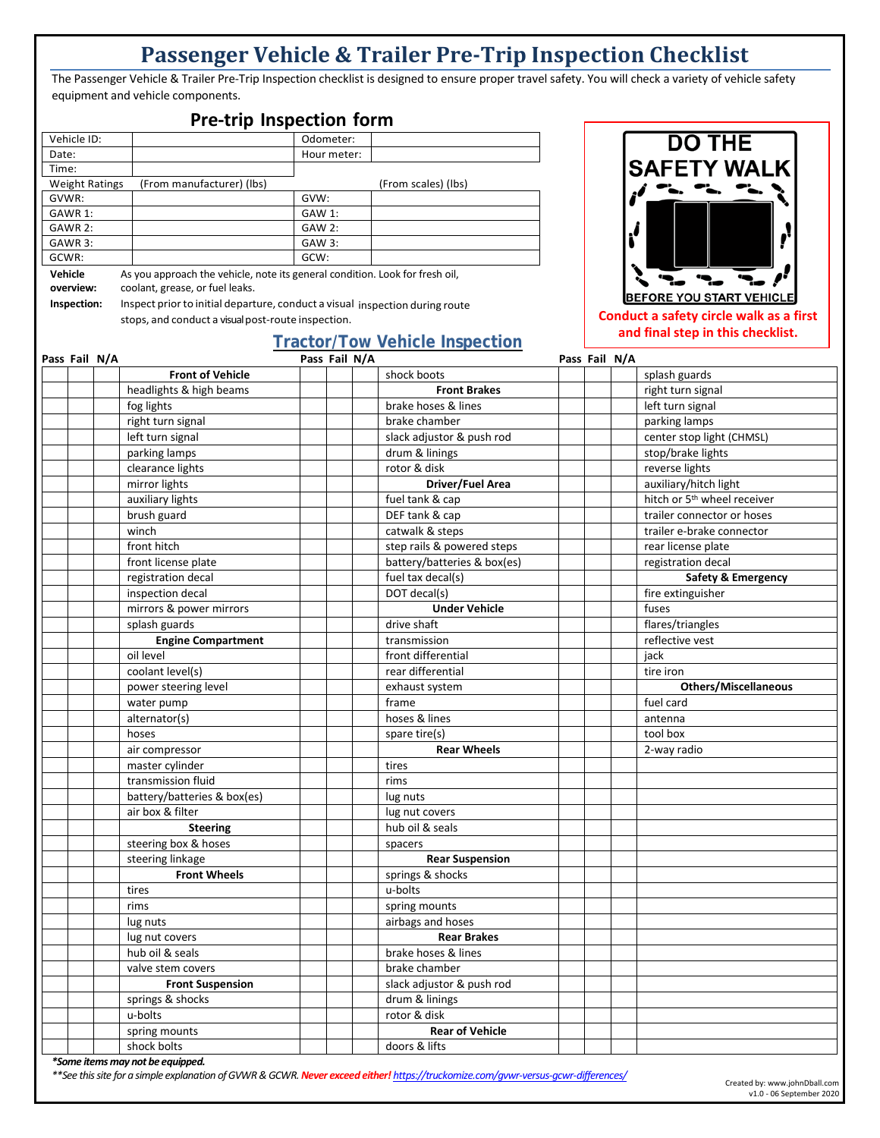## **Passenger Vehicle & Trailer Pre-Trip Inspection Checklist**

The Passenger Vehicle & Trailer Pre-Trip Inspection checklist is designed to ensure proper travel safety. You will check a variety of vehicle safety equipment and vehicle components.

## **Pre-trip Inspection form**

| Vehicle ID:           |                           | Odometer:     |                     |
|-----------------------|---------------------------|---------------|---------------------|
| Date:                 |                           | Hour meter:   |                     |
| Time:                 |                           |               |                     |
| <b>Weight Ratings</b> | (From manufacturer) (lbs) |               | (From scales) (lbs) |
| GVWR:                 |                           | GVW:          |                     |
| GAWR 1:               |                           | GAW 1:        |                     |
| GAWR 2:               |                           | <b>GAW 2:</b> |                     |
| GAWR 3:               |                           | GAW 3:        |                     |
| GCWR:                 |                           | GCW:          |                     |

**Vehicle overview:** As you approach the vehicle, note its general condition. Look for fresh oil, coolant, grease, or fuel leaks.

**Inspection:** Inspect priorto initial departure, conduct a visual inspection during route stops, and conduct a visual post-route inspection.

## **Tractor/Tow Vehicle Inspection**



**Conduct a safety circle walk as a first and final step in this checklist.**

| Pass Fail N/A |  |                                  | Pass Fail N/A |  |                             | Pass Fail N/A |  |                                         |
|---------------|--|----------------------------------|---------------|--|-----------------------------|---------------|--|-----------------------------------------|
|               |  | <b>Front of Vehicle</b>          |               |  | shock boots                 |               |  | splash guards                           |
|               |  | headlights & high beams          |               |  | <b>Front Brakes</b>         |               |  | right turn signal                       |
|               |  | fog lights                       |               |  | brake hoses & lines         |               |  | left turn signal                        |
|               |  | right turn signal                |               |  | brake chamber               |               |  | parking lamps                           |
|               |  | left turn signal                 |               |  | slack adjustor & push rod   |               |  | center stop light (CHMSL)               |
|               |  | parking lamps                    |               |  | drum & linings              |               |  | stop/brake lights                       |
|               |  | clearance lights                 |               |  | rotor & disk                |               |  | reverse lights                          |
|               |  | mirror lights                    |               |  | Driver/Fuel Area            |               |  | auxiliary/hitch light                   |
|               |  | auxiliary lights                 |               |  | fuel tank & cap             |               |  | hitch or 5 <sup>th</sup> wheel receiver |
|               |  | brush guard                      |               |  | DEF tank & cap              |               |  | trailer connector or hoses              |
|               |  | winch                            |               |  | catwalk & steps             |               |  | trailer e-brake connector               |
|               |  | front hitch                      |               |  | step rails & powered steps  |               |  | rear license plate                      |
|               |  | front license plate              |               |  | battery/batteries & box(es) |               |  | registration decal                      |
|               |  | registration decal               |               |  | fuel tax decal(s)           |               |  | <b>Safety &amp; Emergency</b>           |
|               |  | inspection decal                 |               |  | DOT decal(s)                |               |  | fire extinguisher                       |
|               |  | mirrors & power mirrors          |               |  | <b>Under Vehicle</b>        |               |  | fuses                                   |
|               |  | splash guards                    |               |  | drive shaft                 |               |  | flares/triangles                        |
|               |  | <b>Engine Compartment</b>        |               |  | transmission                |               |  | reflective vest                         |
|               |  | oil level                        |               |  | front differential          |               |  | jack                                    |
|               |  | coolant level(s)                 |               |  | rear differential           |               |  | tire iron                               |
|               |  | power steering level             |               |  | exhaust system              |               |  | <b>Others/Miscellaneous</b>             |
|               |  | water pump                       |               |  | frame                       |               |  | fuel card                               |
|               |  | alternator(s)                    |               |  | hoses & lines               |               |  | antenna                                 |
|               |  | hoses                            |               |  | spare tire(s)               |               |  | tool box                                |
|               |  | air compressor                   |               |  | <b>Rear Wheels</b>          |               |  | 2-way radio                             |
|               |  | master cylinder                  |               |  | tires                       |               |  |                                         |
|               |  | transmission fluid               |               |  | rims                        |               |  |                                         |
|               |  | battery/batteries & box(es)      |               |  | lug nuts                    |               |  |                                         |
|               |  | air box & filter                 |               |  | lug nut covers              |               |  |                                         |
|               |  | <b>Steering</b>                  |               |  | hub oil & seals             |               |  |                                         |
|               |  | steering box & hoses             |               |  | spacers                     |               |  |                                         |
|               |  | steering linkage                 |               |  | <b>Rear Suspension</b>      |               |  |                                         |
|               |  | <b>Front Wheels</b>              |               |  | springs & shocks            |               |  |                                         |
|               |  | tires                            |               |  | u-bolts                     |               |  |                                         |
|               |  | rims                             |               |  | spring mounts               |               |  |                                         |
|               |  | lug nuts                         |               |  | airbags and hoses           |               |  |                                         |
|               |  | lug nut covers                   |               |  | <b>Rear Brakes</b>          |               |  |                                         |
|               |  | hub oil & seals                  |               |  | brake hoses & lines         |               |  |                                         |
|               |  | valve stem covers                |               |  | brake chamber               |               |  |                                         |
|               |  | <b>Front Suspension</b>          |               |  | slack adjustor & push rod   |               |  |                                         |
|               |  | springs & shocks                 |               |  | drum & linings              |               |  |                                         |
|               |  | u-bolts                          |               |  | rotor & disk                |               |  |                                         |
|               |  | spring mounts                    |               |  | <b>Rear of Vehicle</b>      |               |  |                                         |
|               |  | shock bolts                      |               |  | doors & lifts               |               |  |                                         |
|               |  | *Some items may not be equipped. |               |  |                             |               |  |                                         |

*\*\*See this site for a simple explanation of GVWR & GCWR. Never exceed either! https://truckomize.com/gvwr-versus-gcwr-differences/*